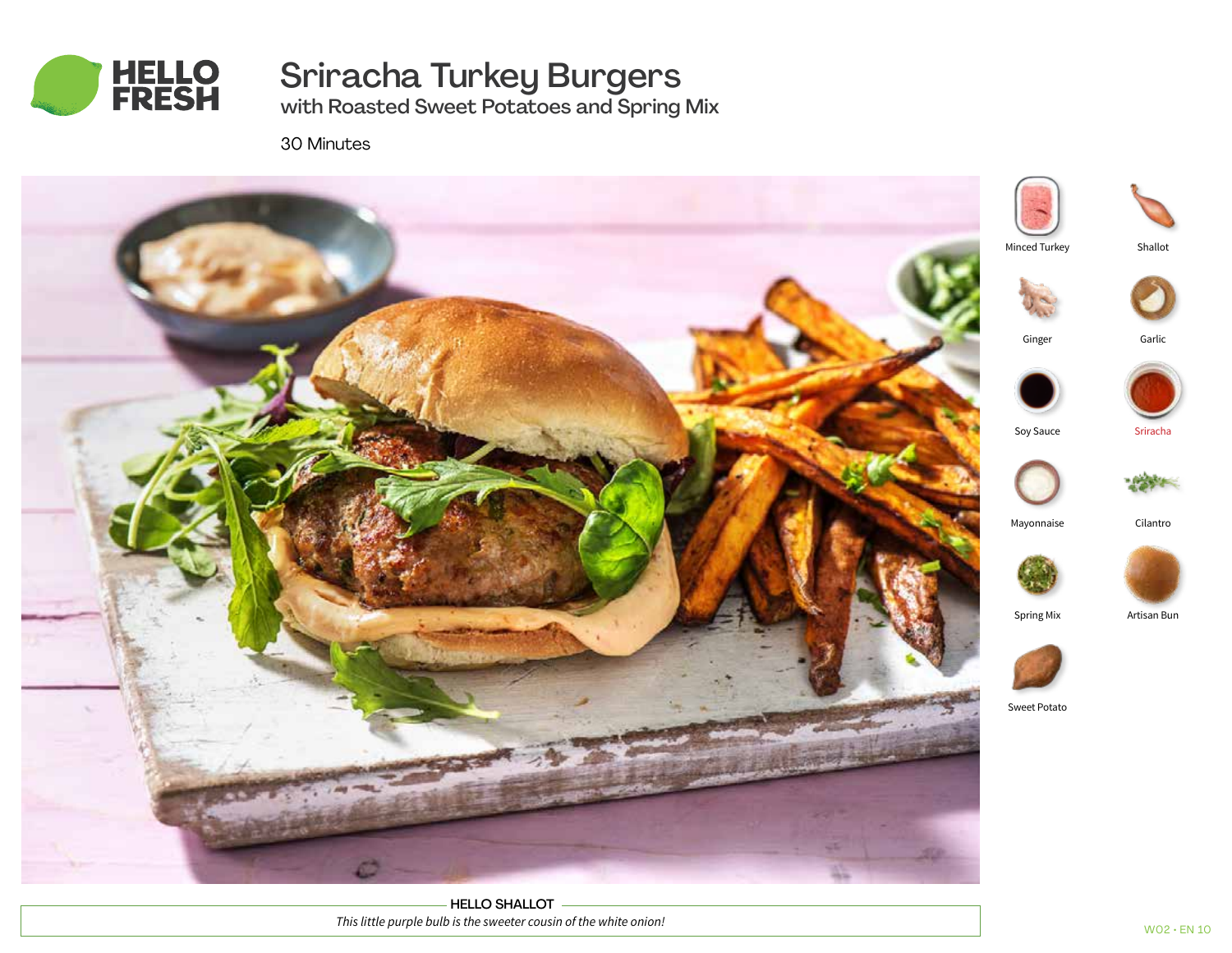

# Sriracha Turkey Burgers

with Roasted Sweet Potatoes and Spring Mix

30 Minutes



HELLO SHALLOT *This little purple bulb is the sweeter cousin of the white onion!*